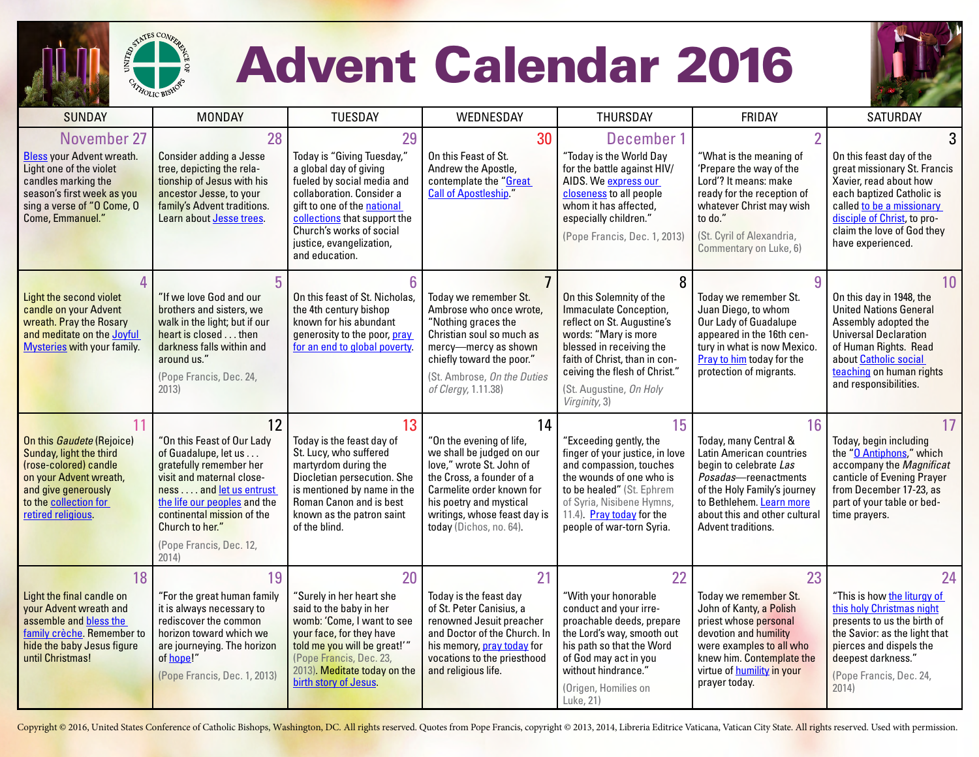

## Advent Calendar 2016



| <b>SUNDAY</b>                                                                                                                                                                              | <b>MONDAY</b>                                                                                                                                                                                                                                                    | <b>TUESDAY</b>                                                                                                                                                                                                                                                 | WEDNESDAY                                                                                                                                                                                                                               | THURSDAY                                                                                                                                                                                                                                           | FRIDAY                                                                                                                                                                                                                       | <b>SATURDAY</b>                                                                                                                                                                                                                             |
|--------------------------------------------------------------------------------------------------------------------------------------------------------------------------------------------|------------------------------------------------------------------------------------------------------------------------------------------------------------------------------------------------------------------------------------------------------------------|----------------------------------------------------------------------------------------------------------------------------------------------------------------------------------------------------------------------------------------------------------------|-----------------------------------------------------------------------------------------------------------------------------------------------------------------------------------------------------------------------------------------|----------------------------------------------------------------------------------------------------------------------------------------------------------------------------------------------------------------------------------------------------|------------------------------------------------------------------------------------------------------------------------------------------------------------------------------------------------------------------------------|---------------------------------------------------------------------------------------------------------------------------------------------------------------------------------------------------------------------------------------------|
| November 27<br><b>Bless your Advent wreath.</b><br>Light one of the violet<br>candles marking the<br>season's first week as you<br>sing a verse of "O Come, O<br>Come, Emmanuel."          | 28<br><b>Consider adding a Jesse</b><br>tree, depicting the rela-<br>tionship of Jesus with his<br>ancestor Jesse, to your<br>family's Advent traditions.<br>Learn about Jesse trees.                                                                            | 29<br>Today is "Giving Tuesday,"<br>a global day of giving<br>fueled by social media and<br>collaboration. Consider a<br>gift to one of the national<br>collections that support the<br>Church's works of social<br>justice, evangelization,<br>and education. | 30<br>On this Feast of St.<br>Andrew the Apostle,<br>contemplate the "Great<br><b>Call of Apostleship."</b>                                                                                                                             | December 1<br>"Today is the World Day<br>for the battle against HIV/<br>AIDS. We express our<br>closeness to all people<br>whom it has affected,<br>especially children."<br>(Pope Francis, Dec. 1, 2013)                                          | $\overline{2}$<br>"What is the meaning of<br>'Prepare the way of the<br>Lord'? It means: make<br>ready for the reception of<br>whatever Christ may wish<br>to do."<br>(St. Cyril of Alexandria,<br>Commentary on Luke, 6)    | 3<br>On this feast day of the<br>great missionary St. Francis<br>Xavier, read about how<br>each baptized Catholic is<br>called to be a missionary<br>disciple of Christ, to pro-<br>claim the love of God they<br>have experienced.         |
| 4<br>Light the second violet<br>candle on your Advent<br>wreath. Pray the Rosary<br>and meditate on the Joyful<br><b>Mysteries with your family.</b>                                       | "If we love God and our<br>brothers and sisters, we<br>walk in the light; but if our<br>heart is closed then<br>darkness falls within and<br>around us."<br>(Pope Francis, Dec. 24,<br>2013)                                                                     | 6<br>On this feast of St. Nicholas,<br>the 4th century bishop<br>known for his abundant<br>generosity to the poor, pray<br>for an end to global poverty.                                                                                                       | Today we remember St.<br>Ambrose who once wrote,<br>"Nothing graces the<br>Christian soul so much as<br>mercy-mercy as shown<br>chiefly toward the poor."<br>(St. Ambrose, On the Duties<br>of Clergy, 1.11.38)                         | On this Solemnity of the<br>Immaculate Conception,<br>reflect on St. Augustine's<br>words: "Mary is more<br>blessed in receiving the<br>faith of Christ, than in con-<br>ceiving the flesh of Christ."<br>(St. Augustine, On Holy<br>Virginity, 3) | 9<br>Today we remember St.<br>Juan Diego, to whom<br>Our Lady of Guadalupe<br>appeared in the 16th cen-<br>tury in what is now Mexico.<br>Pray to him today for the<br>protection of migrants.                               | 10 <sup>°</sup><br>On this day in 1948, the<br><b>United Nations General</b><br>Assembly adopted the<br><b>Universal Declaration</b><br>of Human Rights. Read<br>about Catholic social<br>teaching on human rights<br>and responsibilities. |
| 11<br>On this <i>Gaudete</i> (Rejoice)<br>Sunday, light the third<br>(rose-colored) candle<br>on your Advent wreath,<br>and give generously<br>to the collection for<br>retired religious. | 12<br>"On this Feast of Our Lady<br>of Guadalupe, let us<br>gratefully remember her<br>visit and maternal close-<br>ness and let us entrust<br>the life our peoples and the<br>continental mission of the<br>Church to her."<br>(Pope Francis, Dec. 12,<br>2014) | 13<br>Today is the feast day of<br>St. Lucy, who suffered<br>martyrdom during the<br>Diocletian persecution. She<br>is mentioned by name in the<br>Roman Canon and is best<br>known as the patron saint<br>of the blind.                                       | 14<br>"On the evening of life,<br>we shall be judged on our<br>love," wrote St. John of<br>the Cross, a founder of a<br>Carmelite order known for<br>his poetry and mystical<br>writings, whose feast day is<br>today (Dichos, no. 64). | 15<br>"Exceeding gently, the<br>finger of your justice, in love<br>and compassion, touches<br>the wounds of one who is<br>to be healed" (St. Ephrem<br>of Syria, Nisibene Hymns,<br>11.4). Pray today for the<br>people of war-torn Syria.         | 16<br>Today, many Central &<br>Latin American countries<br>begin to celebrate Las<br>Posadas-reenactments<br>of the Holy Family's journey<br>to Bethlehem. Learn more<br>about this and other cultural<br>Advent traditions. | 17<br>Today, begin including<br>the "O Antiphons," which<br>accompany the Magnificat<br>canticle of Evening Prayer<br>from December 17-23, as<br>part of your table or bed-<br>time prayers.                                                |
| 18<br>Light the final candle on<br>your Advent wreath and<br>assemble and bless the<br>family crèche. Remember to<br>hide the baby Jesus figure<br>until Christmas!                        | 19<br>"For the great human family<br>it is always necessary to<br>rediscover the common<br>horizon toward which we<br>are journeying. The horizon<br>of hope!"<br>(Pope Francis, Dec. 1, 2013)                                                                   | 20<br>"Surely in her heart she<br>said to the baby in her<br>womb: 'Come, I want to see<br>your face, for they have<br>told me you will be great!"<br>(Pope Francis, Dec. 23,<br>2013). Meditate today on the<br>birth story of Jesus.                         | 21<br>Today is the feast day<br>of St. Peter Canisius, a<br>renowned Jesuit preacher<br>and Doctor of the Church. In<br>his memory, pray today for<br>vocations to the priesthood<br>and religious life.                                | 22<br>"With your honorable<br>conduct and your irre-<br>proachable deeds, prepare<br>the Lord's way, smooth out<br>his path so that the Word<br>of God may act in you<br>without hindrance."<br>(Origen, Homilies on<br>Luke, 21)                  | 23<br>Todav we remember St.<br>John of Kanty, a Polish<br>priest whose personal<br>devotion and humility<br>were examples to all who<br>knew him. Contemplate the<br>virtue of <b>humility</b> in your<br>prayer today.      | 24<br>"This is how the liturgy of<br>this holy Christmas night<br>presents to us the birth of<br>the Savior: as the light that<br>pierces and dispels the<br>deepest darkness."<br>(Pope Francis, Dec. 24,<br>2014)                         |

Copyright @ 2016, United States Conference of Catholic Bishops, Washington, DC. All rights reserved. Quotes from Pope Francis, copyright @ 2013, 2014, Libreria Editrice Vaticana, Vatican City State. All rights reserved. Us